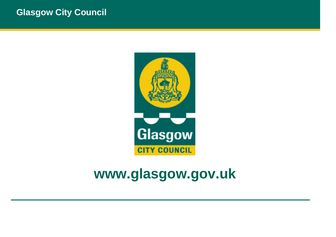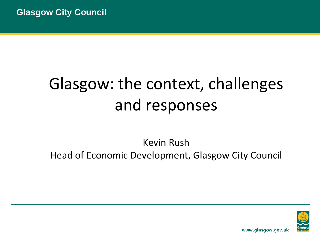## Glasgow: the context, challenges and responses

Kevin Rush Head of Economic Development, Glasgow City Council

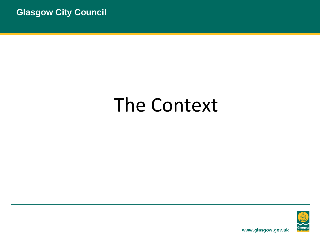## The Context

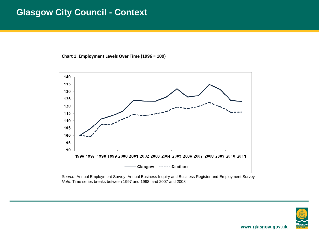#### **Glasgow City Council - Context**

**Chart 1: Employment Levels Over Time (1996 = 100)**



*Source*: Annual Employment Survey; Annual Business Inquiry and Business Register and Employment Survey *Note*: Time series breaks between 1997 and 1998; and 2007 and 2008

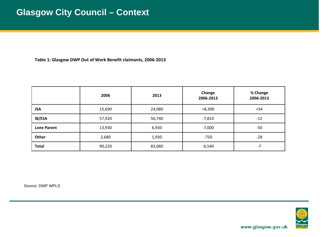**Table 1: Glasgow DWP Out of Work Benefit claimants, 2006‐2013**

|                    | 2006   | 2013   | Change<br>2006-2013 | % Change<br>2006-2013 |
|--------------------|--------|--------|---------------------|-----------------------|
| <b>JSA</b>         | 15,690 | 24,080 | $+8,390$            | $+54$                 |
| IB/ESA             | 57,920 | 50,740 | $-7,810$            | $-12$                 |
| <b>Lone Parent</b> | 13,930 | 6,930  | $-7,000$            | $-50$                 |
| Other              | 2,680  | 1,930  | $-750$              | $-28$                 |
| <b>Total</b>       | 90,220 | 83,680 | $-6,540$            | -7                    |

*Source*: DWP WPLS

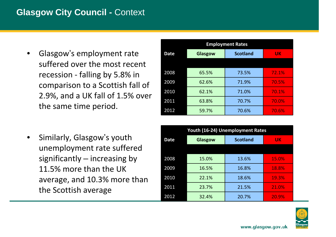### **Glasgow City Council - Context**

- • Glasgow'<sup>s</sup> employment rate suffered over the most recent recession ‐ falling by 5.8% in comparison to <sup>a</sup> Scottish fall of 2.9%, and <sup>a</sup> UK fall of 1.5% over the same time period.
- • Similarly, Glasgow'<sup>s</sup> youth unemployment rate suffered significantly – increasing by 11.5% more than the UK average, and 10.3% more than the Scottish average

| <b>Employment Rates</b> |         |                 |           |
|-------------------------|---------|-----------------|-----------|
| <b>Date</b>             | Glasgow | <b>Scotland</b> | <b>UK</b> |
|                         |         |                 |           |
| 2008                    | 65.5%   | 73.5%           | 72.1%     |
| 2009                    | 62.6%   | 71.9%           | 70.5%     |
| 2010                    | 62.1%   | 71.0%           | 70.1%     |
| 2011                    | 63.8%   | 70.7%           | 70.0%     |
| 2012                    | 59.7%   | 70.6%           | 70.6%     |

| <b>Youth (16-24) Unemployment Rates</b> |                |                 |           |
|-----------------------------------------|----------------|-----------------|-----------|
| <b>Date</b>                             | <b>Glasgow</b> | <b>Scotland</b> | <b>UK</b> |
|                                         |                |                 |           |
| 2008                                    | 15.0%          | 13.6%           | 15.0%     |
| 2009                                    | 16.5%          | 16.8%           | 18.8%     |
| 2010                                    | 22.1%          | 18.6%           | 19.3%     |
| 2011                                    | 23.7%          | 21.5%           | 21.0%     |
| 2012                                    | 32.4%          | 20.7%           | 20.9%     |

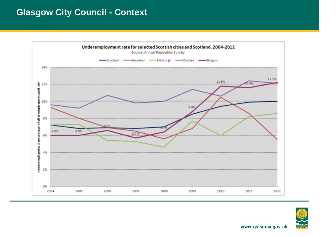### **Glasgow City Council - Context**



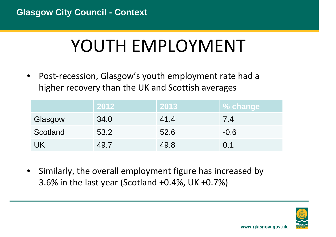## YOUTH EMPLOYMENT

• Post‐recession, Glasgow's youth employment rate had <sup>a</sup> higher recovery than the UK and Scottish averages

|          | 2012 | 2013 | <b>% change</b> |
|----------|------|------|-----------------|
| Glasgow  | 34.0 | 41.4 | 7.4             |
| Scotland | 53.2 | 52.6 | $-0.6$          |
| UK       | 49.7 | 49.8 | 0.1             |

 $\bullet$  Similarly, the overall employment figure has increased by 3.6% in the last year (Scotland +0.4%, UK +0.7%)

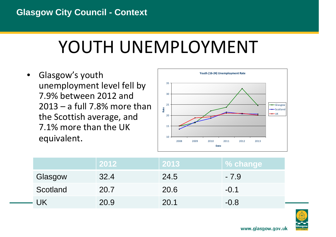## YOUTH UNEMPLOYMENT

• Glasgow's youth unemployment level fell by 7.9% between 2012 and 2013 – <sup>a</sup> full 7.8% more than the Scottish average, and 7.1% more than the UK equivalent.



|          | 2012 | 2013 | % change |
|----------|------|------|----------|
| Glasgow  | 32.4 | 24.5 | $-7.9$   |
| Scotland | 20.7 | 20.6 | $-0.1$   |
| · UK     | 20.9 | 20.1 | $-0.8$   |

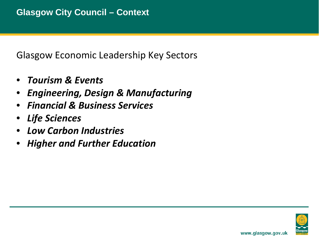Glasgow Economic Leadership Key Sectors

- •*Tourism & Events*
- •*Engineering, Design & Manufacturing*
- •*Financial & Business Services*
- •*Life Sciences*
- •*Low Carbon Industries*
- •*Higher and Further Education*

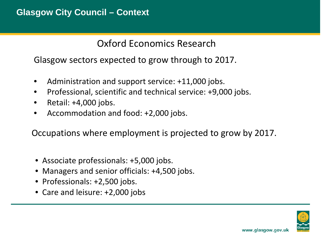Oxford Economics Research

Glasgow sectors expected to grow through to 2017.

- $\bullet$ Administration and support service: +11,000 jobs.
- $\bullet$ Professional, scientific and technical service: +9,000 jobs.
- •Retail: +4,000 jobs.
- •Accommodation and food: +2,000 jobs.

Occupations where employment is projected to grow by 2017.

- Associate professionals: +5,000 jobs.
- Managers and senior officials: +4,500 jobs.
- Professionals: +2,500 jobs.
- Care and leisure: +2,000 jobs

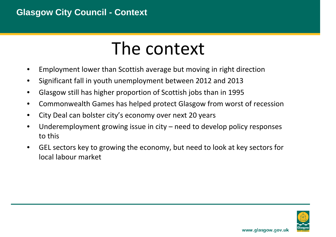### **Glasgow City Council - Context**

## The context

- •Employment lower than Scottish average but moving in right direction
- •Significant fall in youth unemployment between 2012 and 2013
- •Glasgow still has higher proportion of Scottish jobs than in 1995
- $\bullet$ Commonwealth Games has helped protect Glasgow from worst of recession
- •City Deal can bolster city's economy over next 20 years
- • Underemployment growing issue in city – need to develop policy responses to this
- • GEL sectors key to growing the economy, but need to look at key sectors for local labour market

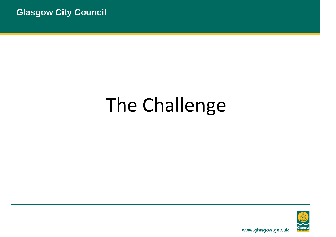# The Challenge

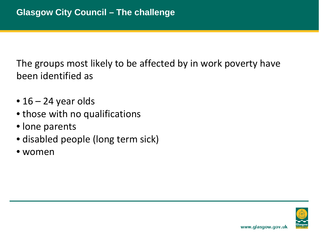The groups most likely to be affected by in work poverty have been identified as

- 16 24 year olds
- those with no qualifications
- lone parents
- disabled people (long term sick)
- women

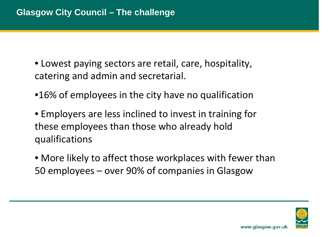- Lowest paying sectors are retail, care, hospitality, catering and admin and secretarial.
- •16% of employees in the city have no qualification
- Employers are less inclined to invest in training for these employees than those who already hold qualifications
- More likely to affect those workplaces with fewer than 50 employees – over 90% of companies in Glasgow

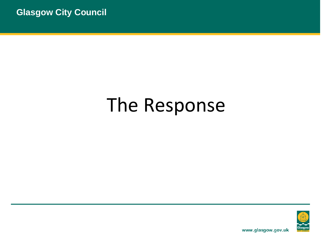# The Response

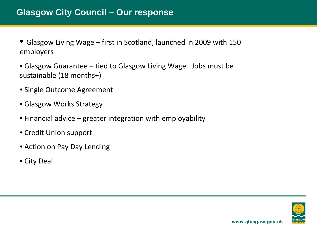- Glasgow Living Wage first in Scotland, launched in 2009 with 150 employers
- Glasgow Guarantee tied to Glasgow Living Wage. Jobs must be sustainable (18 months+)
- Single Outcome Agreement
- Glasgow Works Strategy
- Financial advice greater integration with employability
- Credit Union support
- Action on Pay Day Lending
- City Deal

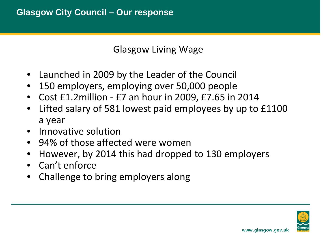Glasgow Living Wage

- •Launched in 2009 by the Leader of the Council
- •150 employers, employing over 50,000 people
- •● Cost £1.2million - £7 an hour in 2009, £7.65 in 2014
- • Lifted salary of 581 lowest paid employees by up to £1100 a year
- •• Innovative solution
- 94% of those affected were women
- •However, by 2014 this had dropped to 130 employers
- Can't enforce
- $\bullet$ Challenge to bring employers along

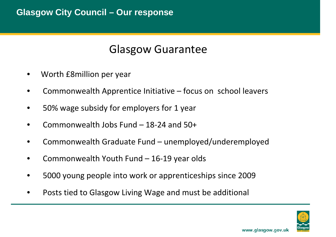### Glasgow Guarantee

- •Worth £8million per year
- •Commonwealth Apprentice Initiative – focus on school leavers
- •50% wage subsidy for employers for 1 year
- •Commonwealth Jobs Fund – 18‐24 and 50+
- •Commonwealth Graduate Fund – unemployed/underemployed
- $\bullet$ Commonwealth Youth Fund – 16‐19 year olds
- •5000 young people into work or apprenticeships since 2009
- •Posts tied to Glasgow Living Wage and must be additional

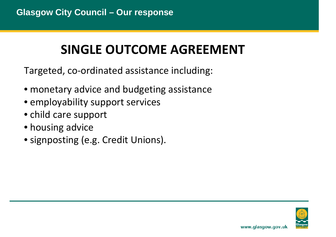### **SINGLE OUTCOME AGREEMENT**

Targeted, co ‐ordinated assistance including:

- monetary advice and budgeting assistance
- employability support services
- child care support
- housing advice
- signposting (e.g. Credit Unions).

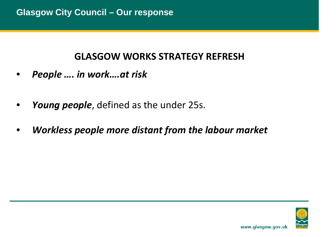### **GLASGOW WORKS STRATEGY REFRESH**

- •*People …. in work….at risk*
- •*Young people*, defined as the under 25s.
- •*Workless people more distant from the labour market*

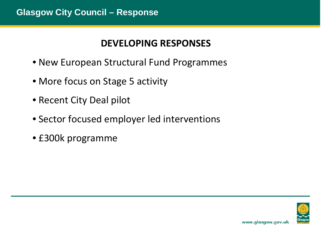### **DEVELOPING RESPONSES**

- New European Structural Fund Programmes
- More focus on Stage 5 activity
- Recent City Deal pilot
- Sector focused employer led interventions
- £300k programme

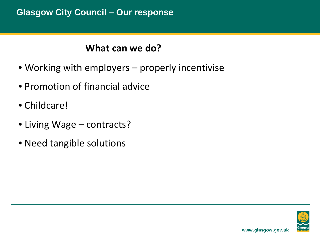#### **Glasgow City Council – Our response**

### **What can we do?**

- Working with employers – properly incentivise
- Promotion of financial advice
- Childcare!
- Living Wage – contracts?
- Need tangible solutions